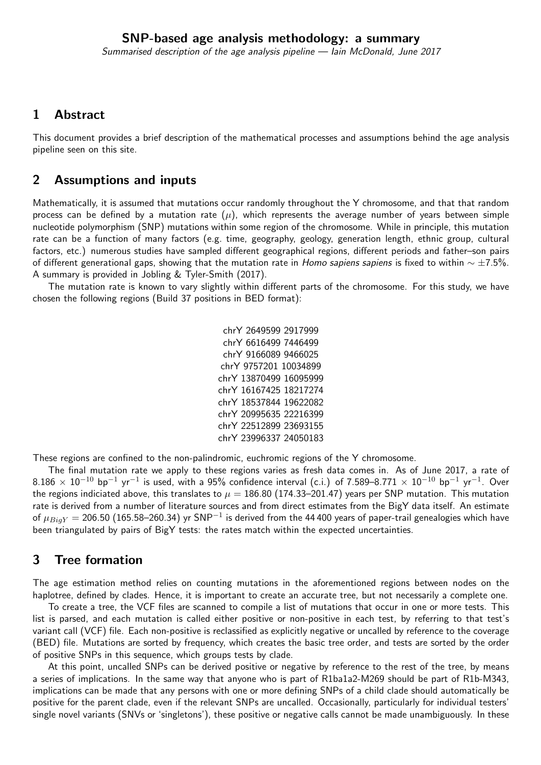### 1 Abstract

This document provides a brief description of the mathematical processes and assumptions behind the age analysis pipeline seen on this site.

### 2 Assumptions and inputs

Mathematically, it is assumed that mutations occur randomly throughout the Y chromosome, and that that random process can be defined by a mutation rate  $(\mu)$ , which represents the average number of years between simple nucleotide polymorphism (SNP) mutations within some region of the chromosome. While in principle, this mutation rate can be a function of many factors (e.g. time, geography, geology, generation length, ethnic group, cultural factors, etc.) numerous studies have sampled different geographical regions, different periods and father–son pairs of different generational gaps, showing that the mutation rate in Homo sapiens sapiens is fixed to within  $\sim \pm 7.5$ %. A summary is provided in Jobling & Tyler-Smith (2017).

The mutation rate is known to vary slightly within different parts of the chromosome. For this study, we have chosen the following regions (Build 37 positions in BED format):

These regions are confined to the non-palindromic, euchromic regions of the Y chromosome.

The final mutation rate we apply to these regions varies as fresh data comes in. As of June 2017, a rate of  $8.186\,\times\,10^{-10}$  bp $^{-1}$  yr $^{-1}$  is used, with a 95% confidence interval (c.i.) of 7.589–8.771  $\times\,10^{-10}$  bp $^{-1}$  yr $^{-1}$ . Over the regions indiciated above, this translates to  $\mu = 186.80$  (174.33–201.47) years per SNP mutation. This mutation rate is derived from a number of literature sources and from direct estimates from the BigY data itself. An estimate of  $\mu_{Big}$   $=$  206.50 (165.58–260.34) yr SNP $^{-1}$  is derived from the 44 400 years of paper-trail genealogies which have been triangulated by pairs of BigY tests: the rates match within the expected uncertainties.

## 3 Tree formation

The age estimation method relies on counting mutations in the aforementioned regions between nodes on the haplotree, defined by clades. Hence, it is important to create an accurate tree, but not necessarily a complete one.

To create a tree, the VCF files are scanned to compile a list of mutations that occur in one or more tests. This list is parsed, and each mutation is called either positive or non-positive in each test, by referring to that test's variant call (VCF) file. Each non-positive is reclassified as explicitly negative or uncalled by reference to the coverage (BED) file. Mutations are sorted by frequency, which creates the basic tree order, and tests are sorted by the order of positive SNPs in this sequence, which groups tests by clade.

At this point, uncalled SNPs can be derived positive or negative by reference to the rest of the tree, by means a series of implications. In the same way that anyone who is part of R1ba1a2-M269 should be part of R1b-M343, implications can be made that any persons with one or more defining SNPs of a child clade should automatically be positive for the parent clade, even if the relevant SNPs are uncalled. Occasionally, particularly for individual testers' single novel variants (SNVs or 'singletons'), these positive or negative calls cannot be made unambiguously. In these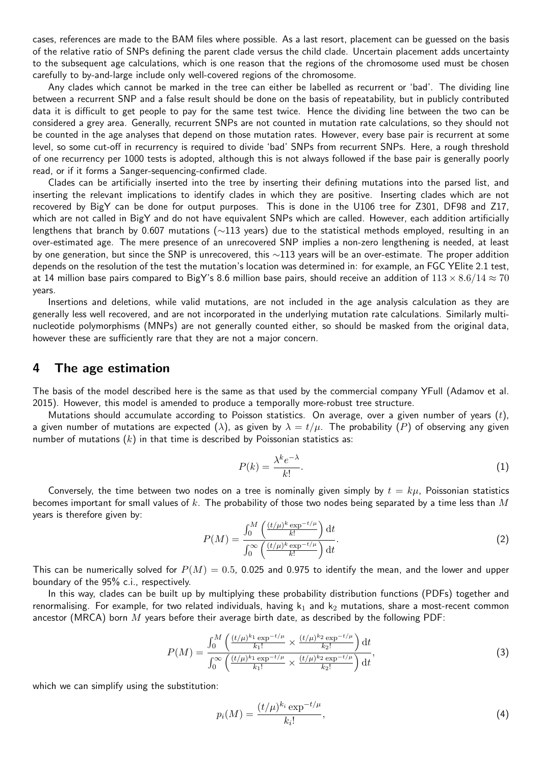cases, references are made to the BAM files where possible. As a last resort, placement can be guessed on the basis of the relative ratio of SNPs defining the parent clade versus the child clade. Uncertain placement adds uncertainty to the subsequent age calculations, which is one reason that the regions of the chromosome used must be chosen carefully to by-and-large include only well-covered regions of the chromosome.

Any clades which cannot be marked in the tree can either be labelled as recurrent or 'bad'. The dividing line between a recurrent SNP and a false result should be done on the basis of repeatability, but in publicly contributed data it is difficult to get people to pay for the same test twice. Hence the dividing line between the two can be considered a grey area. Generally, recurrent SNPs are not counted in mutation rate calculations, so they should not be counted in the age analyses that depend on those mutation rates. However, every base pair is recurrent at some level, so some cut-off in recurrency is required to divide 'bad' SNPs from recurrent SNPs. Here, a rough threshold of one recurrency per 1000 tests is adopted, although this is not always followed if the base pair is generally poorly read, or if it forms a Sanger-sequencing-confirmed clade.

Clades can be artificially inserted into the tree by inserting their defining mutations into the parsed list, and inserting the relevant implications to identify clades in which they are positive. Inserting clades which are not recovered by BigY can be done for output purposes. This is done in the U106 tree for Z301, DF98 and Z17, which are not called in BigY and do not have equivalent SNPs which are called. However, each addition artificially lengthens that branch by 0.607 mutations (∼113 years) due to the statistical methods employed, resulting in an over-estimated age. The mere presence of an unrecovered SNP implies a non-zero lengthening is needed, at least by one generation, but since the SNP is unrecovered, this  $\sim$ 113 years will be an over-estimate. The proper addition depends on the resolution of the test the mutation's location was determined in: for example, an FGC YElite 2.1 test, at 14 million base pairs compared to BigY's 8.6 million base pairs, should receive an addition of  $113 \times 8.6/14 \approx 70$ years.

Insertions and deletions, while valid mutations, are not included in the age analysis calculation as they are generally less well recovered, and are not incorporated in the underlying mutation rate calculations. Similarly multinucleotide polymorphisms (MNPs) are not generally counted either, so should be masked from the original data, however these are sufficiently rare that they are not a major concern.

#### 4 The age estimation

The basis of the model described here is the same as that used by the commercial company YFull (Adamov et al. 2015). However, this model is amended to produce a temporally more-robust tree structure.

Mutations should accumulate according to Poisson statistics. On average, over a given number of years  $(t)$ , a given number of mutations are expected ( $\lambda$ ), as given by  $\lambda = t/\mu$ . The probability (P) of observing any given number of mutations  $(k)$  in that time is described by Poissonian statistics as:

$$
P(k) = \frac{\lambda^k e^{-\lambda}}{k!}.
$$
 (1)

Conversely, the time between two nodes on a tree is nominally given simply by  $t = k\mu$ , Poissonian statistics becomes important for small values of k. The probability of those two nodes being separated by a time less than  $M$ years is therefore given by:

$$
P(M) = \frac{\int_0^M \left(\frac{(t/\mu)^k \exp^{-t/\mu}}{k!}\right) dt}{\int_0^\infty \left(\frac{(t/\mu)^k \exp^{-t/\mu}}{k!}\right) dt}.
$$
 (2)

This can be numerically solved for  $P(M) = 0.5$ , 0.025 and 0.975 to identify the mean, and the lower and upper boundary of the 95% c.i., respectively.

In this way, clades can be built up by multiplying these probability distribution functions (PDFs) together and renormalising. For example, for two related individuals, having  $k_1$  and  $k_2$  mutations, share a most-recent common ancestor (MRCA) born  $M$  years before their average birth date, as described by the following PDF:

$$
P(M) = \frac{\int_0^M \left( \frac{(t/\mu)^{k_1} \exp^{-t/\mu}}{k_1!} \times \frac{(t/\mu)^{k_2} \exp^{-t/\mu}}{k_2!} \right) dt}{\int_0^\infty \left( \frac{(t/\mu)^{k_1} \exp^{-t/\mu}}{k_1!} \times \frac{(t/\mu)^{k_2} \exp^{-t/\mu}}{k_2!} \right) dt},\tag{3}
$$

which we can simplify using the substitution:

$$
p_i(M) = \frac{(t/\mu)^{k_i} \exp^{-t/\mu}}{k_i!},
$$
\n(4)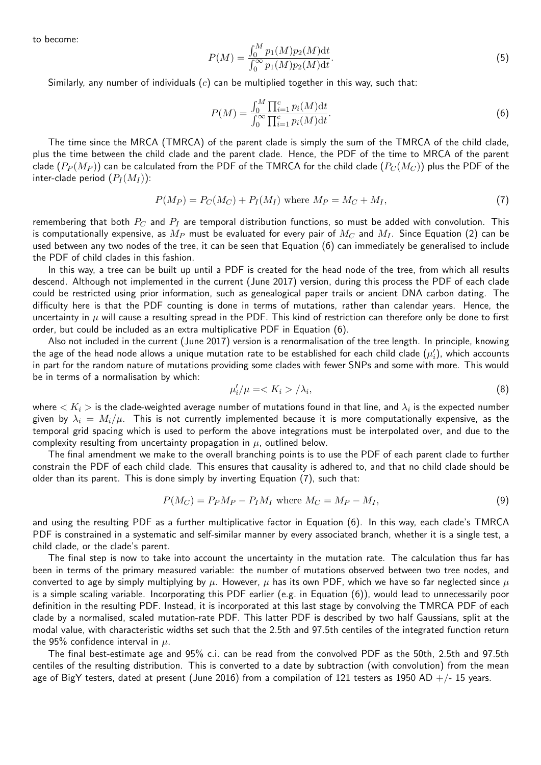to become:

$$
P(M) = \frac{\int_0^M p_1(M)p_2(M)dt}{\int_0^\infty p_1(M)p_2(M)dt}.
$$
\n(5)

Similarly, any number of individuals  $(c)$  can be multiplied together in this way, such that:

$$
P(M) = \frac{\int_0^M \prod_{i=1}^c p_i(M) \mathrm{d}t}{\int_0^\infty \prod_{i=1}^c p_i(M) \mathrm{d}t}.
$$
 (6)

The time since the MRCA (TMRCA) of the parent clade is simply the sum of the TMRCA of the child clade, plus the time between the child clade and the parent clade. Hence, the PDF of the time to MRCA of the parent clade  $(P_P(M_P))$  can be calculated from the PDF of the TMRCA for the child clade  $(P_C(M_C))$  plus the PDF of the inter-clade period  $(P_I(M_I))$ :

$$
P(M_P) = P_C(M_C) + P_I(M_I) \text{ where } M_P = M_C + M_I,
$$
\n<sup>(7)</sup>

remembering that both  $P_C$  and  $P_I$  are temporal distribution functions, so must be added with convolution. This is computationally expensive, as  $M_P$  must be evaluated for every pair of  $M_C$  and  $M_I$ . Since Equation (2) can be used between any two nodes of the tree, it can be seen that Equation (6) can immediately be generalised to include the PDF of child clades in this fashion.

In this way, a tree can be built up until a PDF is created for the head node of the tree, from which all results descend. Although not implemented in the current (June 2017) version, during this process the PDF of each clade could be restricted using prior information, such as genealogical paper trails or ancient DNA carbon dating. The difficulty here is that the PDF counting is done in terms of mutations, rather than calendar years. Hence, the uncertainty in  $\mu$  will cause a resulting spread in the PDF. This kind of restriction can therefore only be done to first order, but could be included as an extra multiplicative PDF in Equation (6).

Also not included in the current (June 2017) version is a renormalisation of the tree length. In principle, knowing the age of the head node allows a unique mutation rate to be established for each child clade  $(\mu_i')$ , which accounts in part for the random nature of mutations providing some clades with fewer SNPs and some with more. This would be in terms of a normalisation by which:

$$
\mu'_i/\mu = < K_i > / \lambda_i,\tag{8}
$$

where  $< K_i>$  is the clade-weighted average number of mutations found in that line, and  $\lambda_i$  is the expected number given by  $\lambda_i = M_i/\mu$ . This is not currently implemented because it is more computationally expensive, as the temporal grid spacing which is used to perform the above integrations must be interpolated over, and due to the complexity resulting from uncertainty propagation in  $\mu$ , outlined below.

The final amendment we make to the overall branching points is to use the PDF of each parent clade to further constrain the PDF of each child clade. This ensures that causality is adhered to, and that no child clade should be older than its parent. This is done simply by inverting Equation (7), such that:

$$
P(M_C) = P_P M_P - P_I M_I \text{ where } M_C = M_P - M_I,
$$
\n(9)

and using the resulting PDF as a further multiplicative factor in Equation (6). In this way, each clade's TMRCA PDF is constrained in a systematic and self-similar manner by every associated branch, whether it is a single test, a child clade, or the clade's parent.

The final step is now to take into account the uncertainty in the mutation rate. The calculation thus far has been in terms of the primary measured variable: the number of mutations observed between two tree nodes, and converted to age by simply multiplying by  $\mu$ . However,  $\mu$  has its own PDF, which we have so far neglected since  $\mu$ is a simple scaling variable. Incorporating this PDF earlier (e.g. in Equation (6)), would lead to unnecessarily poor definition in the resulting PDF. Instead, it is incorporated at this last stage by convolving the TMRCA PDF of each clade by a normalised, scaled mutation-rate PDF. This latter PDF is described by two half Gaussians, split at the modal value, with characteristic widths set such that the 2.5th and 97.5th centiles of the integrated function return the 95% confidence interval in  $\mu$ .

The final best-estimate age and 95% c.i. can be read from the convolved PDF as the 50th, 2.5th and 97.5th centiles of the resulting distribution. This is converted to a date by subtraction (with convolution) from the mean age of BigY testers, dated at present (June 2016) from a compilation of 121 testers as 1950 AD  $+/-$  15 years.